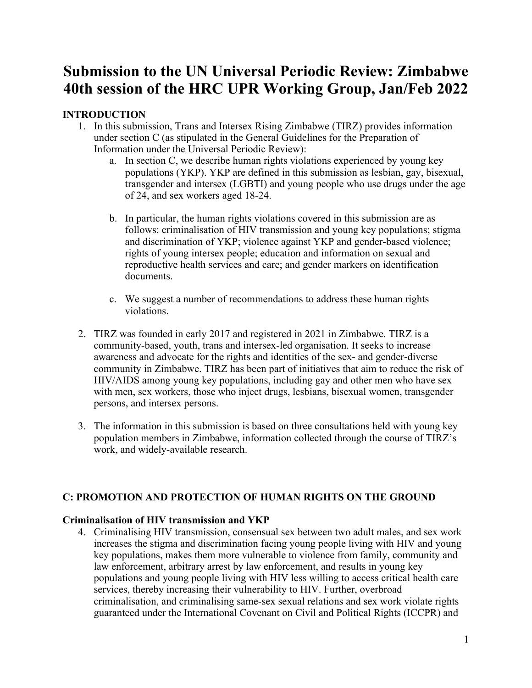# **Submission to the UN Universal Periodic Review: Zimbabwe 40th session of the HRC UPR Working Group, Jan/Feb 2022**

# **INTRODUCTION**

- 1. In this submission, Trans and Intersex Rising Zimbabwe (TIRZ) provides information under section C (as stipulated in the General Guidelines for the Preparation of Information under the Universal Periodic Review):
	- a. In section C, we describe human rights violations experienced by young key populations (YKP). YKP are defined in this submission as lesbian, gay, bisexual, transgender and intersex (LGBTI) and young people who use drugs under the age of 24, and sex workers aged 18-24.
	- b. In particular, the human rights violations covered in this submission are as follows: criminalisation of HIV transmission and young key populations; stigma and discrimination of YKP; violence against YKP and gender-based violence; rights of young intersex people; education and information on sexual and reproductive health services and care; and gender markers on identification documents.
	- c. We sugges<sup>t</sup> <sup>a</sup> number of recommendations to address these human rights violations.
- 2. TIRZ was founded in early 2017 and registered in 2021 in Zimbabwe. TIRZ is <sup>a</sup> community-based, youth, trans and intersex-led organisation. It seeks to increase awareness and advocate for the rights and identities of the sex- and gender-diverse community in Zimbabwe. TIRZ has been par<sup>t</sup> of initiatives that aim to reduce the risk of HIV/AIDS among young key populations, including gay and other men who have sex with men, sex workers, those who inject drugs, lesbians, bisexual women, transgender persons, and intersex persons.
- 3. The information in this submission is based on three consultations held with young key population members in Zimbabwe, information collected through the course of TIRZ'<sup>s</sup> work, and widely-available research.

# **C: PROMOTION AND PROTECTION OF HUMAN RIGHTS ON THE GROUND**

# **Criminalisation of HIV transmission and YKP**

4. Criminalising HIV transmission, consensual sex between two adult males, and sex work increases the stigma and discrimination facing young people living with HIV and young key populations, makes them more vulnerable to violence from family, community and law enforcement, arbitrary arrest by law enforcement, and results in young key populations and young people living with HIV less willing to access critical health care services, thereby increasing their vulnerability to HIV. Further, overbroad criminalisation, and criminalising same-sex sexual relations and sex work violate rights guaranteed under the International Covenant on Civil and Political Rights (ICCPR) and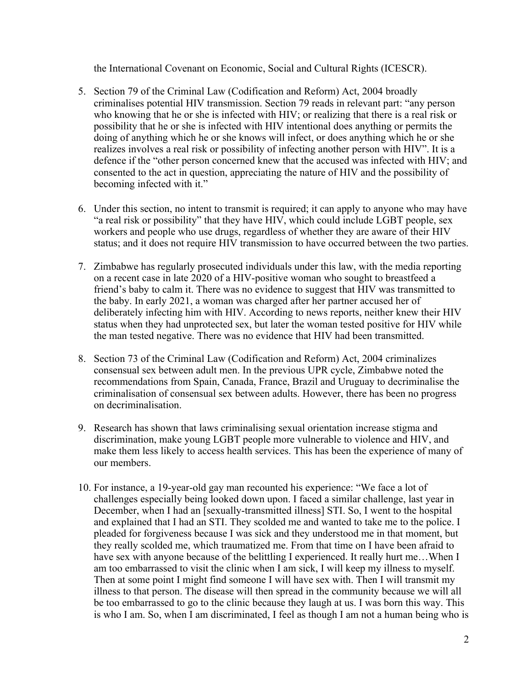the International Covenant on Economic, Social and Cultural Rights (ICESCR).

- 5. Section 79 of the Criminal Law (Codification and Reform) Act, 2004 broadly criminalises potential HIV transmission. Section 79 reads in relevant part: "any person who knowing that he or she is infected with HIV; or realizing that there is <sup>a</sup> real risk or possibility that he or she is infected with HIV intentional does anything or permits the doing of anything which he or she knows will infect, or does anything which he or she realizes involves <sup>a</sup> real risk or possibility of infecting another person with HIV". It is <sup>a</sup> defence if the "other person concerned knew that the accused was infected with HIV; and consented to the act in question, appreciating the nature of HIV and the possibility of becoming infected with it."
- 6. Under this section, no intent to transmit is required; it can apply to anyone who may have "<sup>a</sup> real risk or possibility" that they have HIV, which could include LGBT people, sex workers and people who use drugs, regardless of whether they are aware of their HIV status; and it does not require HIV transmission to have occurred between the two parties.
- 7. Zimbabwe has regularly prosecuted individuals under this law, with the media reporting on <sup>a</sup> recent case in late 2020 of <sup>a</sup> HIV-positive woman who sought to breastfeed <sup>a</sup> friend'<sup>s</sup> baby to calm it. There was no evidence to sugges<sup>t</sup> that HIV was transmitted to the baby. In early 2021, <sup>a</sup> woman was charged after her partner accused her of deliberately infecting him with HIV. According to news reports, neither knew their HIV status when they had unprotected sex, but later the woman tested positive for HIV while the man tested negative. There was no evidence that HIV had been transmitted.
- 8. Section 73 of the Criminal Law (Codification and Reform) Act, 2004 criminalizes consensual sex between adult men. In the previous UPR cycle, Zimbabwe noted the recommendations from Spain, Canada, France, Brazil and Uruguay to decriminalise the criminalisation of consensual sex between adults. However, there has been no progress on decriminalisation.
- 9. Research has shown that laws criminalising sexual orientation increase stigma and discrimination, make young LGBT people more vulnerable to violence and HIV, and make them less likely to access health services. This has been the experience of many of our members.
- 10. For instance, <sup>a</sup> 19-year-old gay man recounted his experience: "We face <sup>a</sup> lot of challenges especially being looked down upon. I faced <sup>a</sup> similar challenge, last year in December, when I had an [sexually-transmitted illness] STI. So, I went to the hospital and explained that I had an STI. They scolded me and wanted to take me to the police. I pleaded for forgiveness because I was sick and they understood me in that moment, but they really scolded me, which traumatized me. From that time on I have been afraid to have sex with anyone because of the belittling I experienced. It really hurt me... When I am too embarrassed to visit the clinic when I am sick, I will keep my illness to myself. Then at some point I might find someone I will have sex with. Then I will transmit my illness to that person. The disease will then spread in the community because we will all be too embarrassed to go to the clinic because they laugh at us. I was born this way. This is who I am. So, when I am discriminated, I feel as though I am not <sup>a</sup> human being who is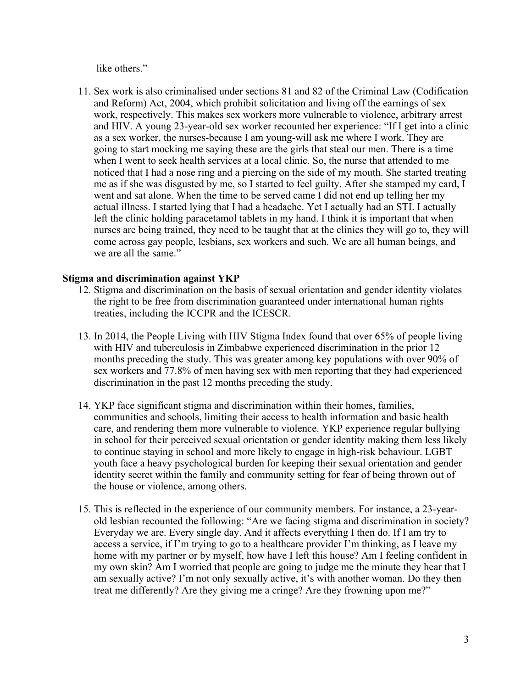like others."

11. Sex work is also criminalised under sections 81 and 82 of the Criminal Law (Codification and Reform) Act, 2004, which prohibit solicitation and living off the earnings of sex work, respectively. This makes sex workers more vulnerable to violence, arbitrary arrest and HIV. A young 23-year-old sex worker recounted her experience: "If I get into a clinic as <sup>a</sup> sex worker, the nurses-because I am young-will ask me where I work. They are going to start mocking me saying these are the girls that steal our men. There is <sup>a</sup> time when I went to seek health services at <sup>a</sup> local clinic. So, the nurse that attended to me noticed that I had <sup>a</sup> nose ring and <sup>a</sup> piercing on the side of my mouth. She started treating me as if she was disgusted by me, so I started to feel guilty. After she stamped my card, I went and sat alone. When the time to be served came I did not end up telling her my actual illness. I started lying that I had <sup>a</sup> headache. Yet I actually had an STI. I actually left the clinic holding paracetamol tablets in my hand. I think it is important that when nurses are being trained, they need to be taught that at the clinics they will go to, they will come across gay people, lesbians, sex workers and such. We are all human beings, and we are all the same."

# **Stigma and discrimination against YKP**

- 12. Stigma and discrimination on the basis of sexual orientation and gender identity violates the right to be free from discrimination guaranteed under international human rights treaties, including the ICCPR and the ICESCR.
- 13. In 2014, the People Living with HIV Stigma Index found that over 65% of people living with HIV and tuberculosis in Zimbabwe experienced discrimination in the prior 12 months preceding the study. This was greater among key populations with over 90% of sex workers and 77.8% of men having sex with men reporting that they had experienced discrimination in the pas<sup>t</sup> 12 months preceding the study.
- 14. YKP face significant stigma and discrimination within their homes, families, communities and schools, limiting their access to health information and basic health care, and rendering them more vulnerable to violence. YKP experience regular bullying in school for their perceived sexual orientation or gender identity making them less likely to continue staying in school and more likely to engage in high-risk behaviour. LGBT youth face <sup>a</sup> heavy psychological burden for keeping their sexual orientation and gender identity secret within the family and community setting for fear of being thrown out of the house or violence, among others.
- 15. This is reflected in the experience of our community members. For instance, <sup>a</sup> 23-yearold lesbian recounted the following: "Are we facing stigma and discrimination in society? Everyday we are. Every single day. And it affects everything I then do. If I am try to access <sup>a</sup> service, if I'<sup>m</sup> trying to go to <sup>a</sup> healthcare provider I'<sup>m</sup> thinking, as I leave my home with my partner or by myself, how have I left this house? Am I feeling confident in my own skin? Am I worried that people are going to judge me the minute they hear that I am sexually active? I'<sup>m</sup> not only sexually active, it'<sup>s</sup> with another woman. Do they then treat me differently? Are they giving me <sup>a</sup> cringe? Are they frowning upon me?"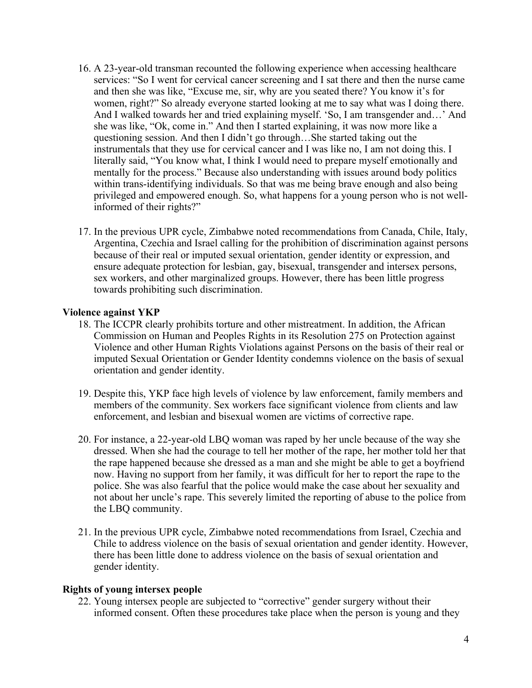- 16. A23-year-old transman recounted the following experience when accessing healthcare services: "So I went for cervical cancer screening and I sat there and then the nurse came and then she was like, "Excuse me, sir, why are you seated there? You know it'<sup>s</sup> for women, right?" So already everyone started looking at me to say what was I doing there. And I walked towards her and tried explaining myself. 'So, I am transgender and…' And she was like, "Ok, come in." And then I started explaining, it was now more like <sup>a</sup> questioning session. And then I didn'<sup>t</sup> go through…She started taking out the instrumentals that they use for cervical cancer and I was like no, I am not doing this. I literally said, "You know what, I think I would need to prepare myself emotionally and mentally for the process." Because also understanding with issues around body politics within trans-identifying individuals. So that was me being brave enough and also being privileged and empowered enough. So, what happens for <sup>a</sup> young person who is not wellinformed of their rights?"
- 17. In the previous UPR cycle, Zimbabwe noted recommendations from Canada, Chile, Italy, Argentina, Czechia and Israel calling for the prohibition of discrimination against persons because of their real or imputed sexual orientation, gender identity or expression, and ensure adequate protection for lesbian, gay, bisexual, transgender and intersex persons, sex workers, and other marginalized groups. However, there has been little progress towards prohibiting such discrimination.

# **Violence against YKP**

- 18. The ICCPR clearly prohibits torture and other mistreatment. In addition, the African Commission on Human and Peoples Rights in its Resolution 275 on Protection against Violence and other Human Rights Violations against Persons on the basis of their real or imputed Sexual Orientation or Gender Identity condemns violence on the basis of sexual orientation and gender identity.
- 19. Despite this, YKP face high levels of violence by law enforcement, family members and members of the community. Sex workers face significant violence from clients and law enforcement, and lesbian and bisexual women are victims of corrective rape.
- 20. For instance, <sup>a</sup> 22-year-old LBQ woman was raped by her uncle because of the way she dressed. When she had the courage to tell her mother of the rape, her mother told her that the rape happened because she dressed as <sup>a</sup> man and she might be able to ge<sup>t</sup> <sup>a</sup> boyfriend now. Having no suppor<sup>t</sup> from her family, it was difficult for her to repor<sup>t</sup> the rape to the police. She was also fearful that the police would make the case about her sexuality and not about her uncle'<sup>s</sup> rape. This severely limited the reporting of abuse to the police from the LBQ community.
- 21. In the previous UPR cycle, Zimbabwe noted recommendations from Israel, Czechia and Chile to address violence on the basis of sexual orientation and gender identity. However, there has been little done to address violence on the basis of sexual orientation and gender identity.

#### **Rights of young intersex people**

22. Young intersex people are subjected to "corrective" gender surgery without their informed consent. Often these procedures take place when the person is young and they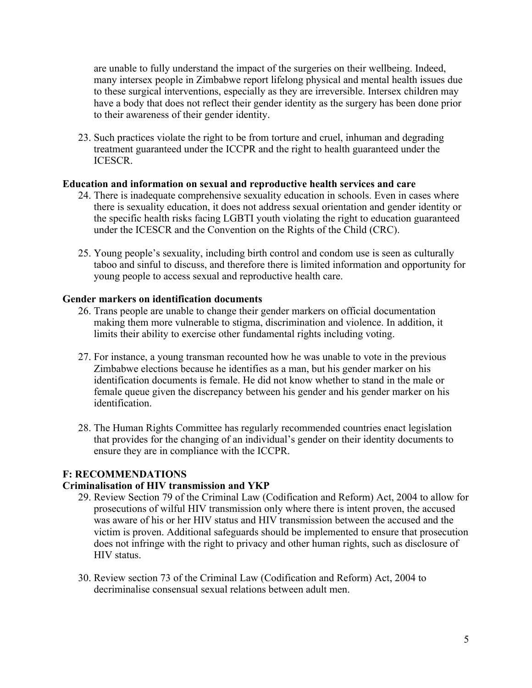are unable to fully understand the impact of the surgeries on their wellbeing. Indeed, many intersex people in Zimbabwe repor<sup>t</sup> lifelong physical and mental health issues due to these surgical interventions, especially as they are irreversible. Intersex children may have <sup>a</sup> body that does not reflect their gender identity as the surgery has been done prior to their awareness of their gender identity.

23. Such practices violate the right to be from torture and cruel, inhuman and degrading treatment guaranteed under the ICCPR and the right to health guaranteed under the ICESCR.

# **Education and information on sexual and reproductive health services and care**

- 24. There is inadequate comprehensive sexuality education in schools. Even in cases where there is sexuality education, it does not address sexual orientation and gender identity or the specific health risks facing LGBTI youth violating the right to education guaranteed under the ICESCR and the Convention on the Rights of the Child (CRC).
- 25. Young people'<sup>s</sup> sexuality, including birth control and condom use is seen as culturally taboo and sinful to discuss, and therefore there is limited information and opportunity for young people to access sexual and reproductive health care.

#### **Gender markers on identification documents**

- 26. Trans people are unable to change their gender markers on official documentation making them more vulnerable to stigma, discrimination and violence. In addition, it limits their ability to exercise other fundamental rights including voting.
- 27. For instance, <sup>a</sup> young transman recounted how he was unable to vote in the previous Zimbabwe elections because he identifies as <sup>a</sup> man, but his gender marker on his identification documents is female. He did not know whether to stand in the male or female queue given the discrepancy between his gender and his gender marker on his identification.
- 28. The Human Rights Committee has regularly recommended countries enact legislation that provides for the changing of an individual'<sup>s</sup> gender on their identity documents to ensure they are in compliance with the ICCPR.

# **F: RECOMMENDATIONS**

#### **Criminalisation of HIV transmission and YKP**

- 29. Review Section 79 of the Criminal Law (Codification and Reform) Act, 2004 to allow for prosecutions of wilful HIV transmission only where there is intent proven, the accused was aware of his or her HIV status and HIV transmission between the accused and the victim is proven. Additional safeguards should be implemented to ensure that prosecution does not infringe with the right to privacy and other human rights, such as disclosure of HIV status.
- 30. Review section 73 of the Criminal Law (Codification and Reform) Act, 2004 to decriminalise consensual sexual relations between adult men.